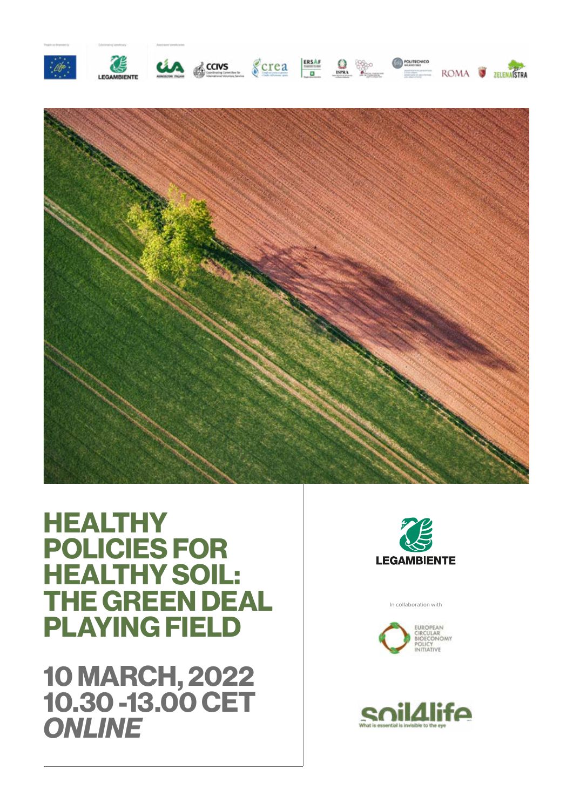



# **HEALTHY POLICIES FOR HEALTHY SOIL: THE GREEN DEAL PLAYING FIELD**

**10 MARCH, 2022 10.30 -13.00 CET**  *ONLINE*



In collaboration with



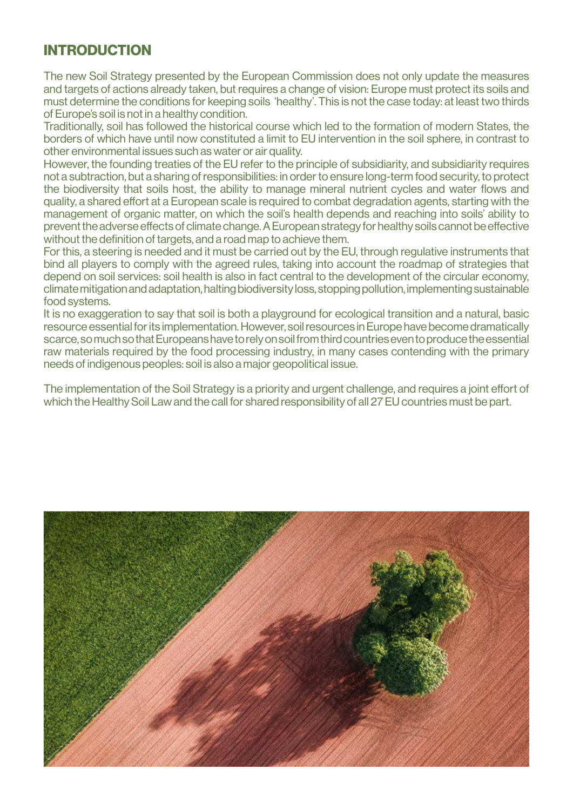# **INTRODUCTION**

The new Soil Strategy presented by the European Commission does not only update the measures and targets of actions already taken, but requires a change of vision: Europe must protect its soils and must determine the conditions for keeping soils 'healthy'. This is not the case today: at least two thirds of Europe's soil is not in a healthy condition.

Traditionally, soil has followed the historical course which led to the formation of modern States, the borders of which have until now constituted a limit to EU intervention in the soil sphere, in contrast to other environmental issues such as water or air quality.

However, the founding treaties of the EU refer to the principle of subsidiarity, and subsidiarity requires not a subtraction, but a sharing of responsibilities: in order to ensure long-term food security, to protect the biodiversity that soils host, the ability to manage mineral nutrient cycles and water flows and quality, a shared effort at a European scale is required to combat degradation agents, starting with the management of organic matter, on which the soil's health depends and reaching into soils' ability to prevent the adverse effects of climate change. A European strategy for healthy soils cannot be effective without the definition of targets, and a road map to achieve them.

For this, a steering is needed and it must be carried out by the EU, through regulative instruments that bind all players to comply with the agreed rules, taking into account the roadmap of strategies that depend on soil services: soil health is also in fact central to the development of the circular economy, climate mitigation and adaptation, halting biodiversity loss, stopping pollution, implementing sustainable food systems.

It is no exaggeration to say that soil is both a playground for ecological transition and a natural, basic resource essential for its implementation. However, soil resources in Europe have become dramatically scarce, so much so that Europeans have to rely on soil from third countries even to produce the essential raw materials required by the food processing industry, in many cases contending with the primary needs of indigenous peoples: soil is also a major geopolitical issue.

The implementation of the Soil Strategy is a priority and urgent challenge, and requires a joint effort of which the Healthy Soil Law and the call for shared responsibility of all 27 EU countries must be part.

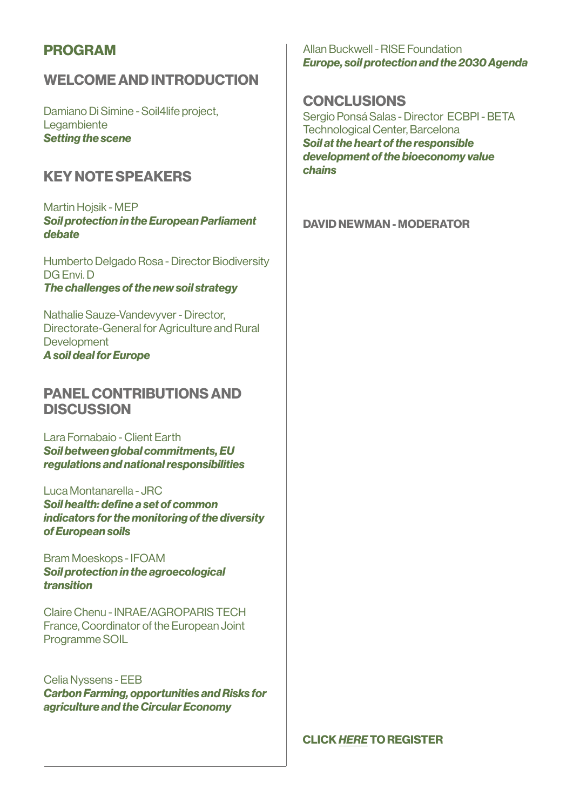### **PROGRAM**

## **WELCOME AND INTRODUCTION**

Damiano Di Simine - Soil4life project, **Legambiente** *Setting the scene*

### **KEY NOTE SPEAKERS**

Martin Hojsik - MEP *Soil protection in the European Parliament debate*

Humberto Delgado Rosa - Director Biodiversity DG Envi. D *The challenges of the new soil strategy*

Nathalie Sauze-Vandevyver - Director, Directorate-General for Agriculture and Rural **Development** *A soil deal for Europe*

### **PANEL CONTRIBUTIONS AND DISCUSSION**

Lara Fornabaio - Client Earth *Soil between global commitments, EU regulations and national responsibilities*

Luca Montanarella - JRC *Soil health: define a set of common indicators for the monitoring of the diversity of European soils*

Bram Moeskops - IFOAM *Soil protection in the agroecological transition*

Claire Chenu - INRAE/AGROPARIS TECH France, Coordinator of the European Joint Programme SOIL

Celia Nyssens - EEB *Carbon Farming, opportunities and Risks for agriculture and the Circular Economy*

Allan Buckwell - RISE Foundation *Europe, soil protection and the 2030 Agenda*

### **CONCLUSIONS**

Sergio Ponsá Salas - Director ECBPI - BETA Technological Center, Barcelona *Soil at the heart of the responsible development of the bioeconomy value chains*

### **DAVID NEWMAN - MODERATOR**

**CLICK** *[HERE](https://docs.google.com/forms/d/e/1FAIpQLScOS5WPy8VEJycYNz-IvC7jc-y05UwV7CrGQUKlP_-4Me4pyg/viewform)* **TO REGISTER**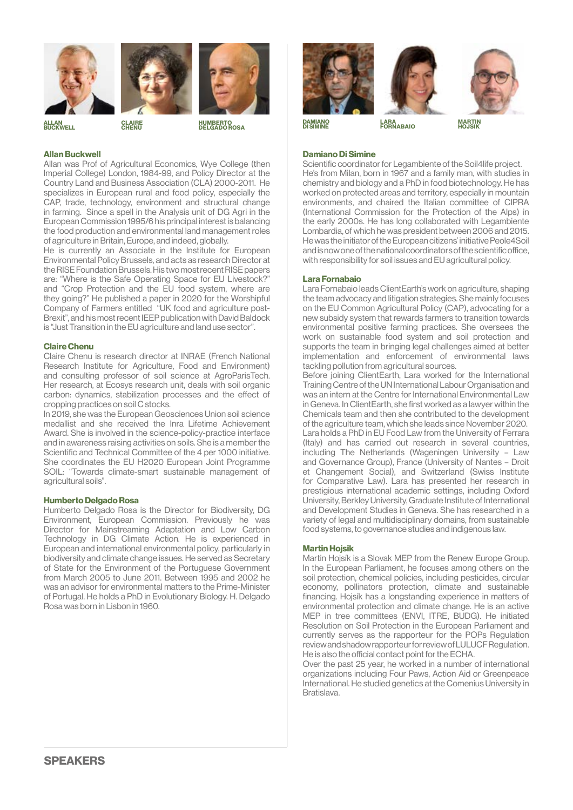



**CLAIRE** 

**BUCKWELL** 



**HOJSIK HUMBERTO DELGADO ROSA ALLAN**

#### **Allan Buckwell**

Allan was Prof of Agricultural Economics, Wye College (then Imperial College) London, 1984-99, and Policy Director at the Country Land and Business Association (CLA) 2000-2011. He specializes in European rural and food policy, especially the CAP, trade, technology, environment and structural change in farming. Since a spell in the Analysis unit of DG Agri in the European Commission 1995/6 his principal interest is balancing the food production and environmental land management roles of agriculture in Britain, Europe, and indeed, globally.

He is currently an Associate in the Institute for European Environmental Policy Brussels, and acts as research Director at the RISE Foundation Brussels. His two most recent RISE papers are: "Where is the Safe Operating Space for EU Livestock?" and "Crop Protection and the EU food system, where are they going?" He published a paper in 2020 for the Worshipful Company of Farmers entitled "UK food and agriculture post-Brexit", and his most recent IEEP publication with David Baldock is "Just Transition in the EU agriculture and land use sector".

#### **Claire Chenu**

Claire Chenu is research director at INRAE (French National Research Institute for Agriculture, Food and Environment) and consulting professor of soil science at AgroParisTech. Her research, at Ecosys research unit, deals with soil organic carbon: dynamics, stabilization processes and the effect of cropping practices on soil C stocks.

In 2019, she was the European Geosciences Union soil science medallist and she received the Inra Lifetime Achievement Award. She is involved in the science-policy-practice interface and in awareness raising activities on soils. She is a member the Scientific and Technical Committee of the 4 per 1000 initiative. She coordinates the EU H2020 European Joint Programme SOIL: "Towards climate-smart sustainable management of agricultural soils".

#### **Humberto Delgado Rosa**

Humberto Delgado Rosa is the Director for Biodiversity, DG Environment, European Commission. Previously he was Director for Mainstreaming Adaptation and Low Carbon Technology in DG Climate Action. He is experienced in European and international environmental policy, particularly in biodiversity and climate change issues. He served as Secretary of State for the Environment of the Portuguese Government from March 2005 to June 2011. Between 1995 and 2002 he was an advisor for environmental matters to the Prime-Minister of Portugal. He holds a PhD in Evolutionary Biology. H. Delgado Rosa was born in Lisbon in 1960.





**LARA FORNABAIO DAMIANO DI SIMINE MARTIN**

#### **Damiano Di Simine**

Scientific coordinator for Legambiente of the Soil4life project. He's from Milan, born in 1967 and a family man, with studies in chemistry and biology and a PhD in food biotechnology. He has worked on protected areas and territory, especially in mountain environments, and chaired the Italian committee of CIPRA (International Commission for the Protection of the Alps) in the early 2000s. He has long collaborated with Legambiente Lombardia, of which he was president between 2006 and 2015. He was the initiator of the European citizens' initiative Peole4Soil and is now one of the national coordinators of the scientific office, with responsibility for soil issues and EU agricultural policy.

#### **Lara Fornabaio**

Lara Fornabaio leads ClientEarth's work on agriculture, shaping the team advocacy and litigation strategies. She mainly focuses on the EU Common Agricultural Policy (CAP), advocating for a new subsidy system that rewards farmers to transition towards environmental positive farming practices. She oversees the work on sustainable food system and soil protection and supports the team in bringing legal challenges aimed at better implementation and enforcement of environmental laws tackling pollution from agricultural sources.

Before joining ClientEarth, Lara worked for the International Training Centre of the UN International Labour Organisation and was an intern at the Centre for International Environmental Law in Geneva. In ClientEarth, she first worked as a lawyer within the Chemicals team and then she contributed to the development of the agriculture team, which she leads since November 2020. Lara holds a PhD in EU Food Law from the University of Ferrara (Italy) and has carried out research in several countries, including The Netherlands (Wageningen University – Law and Governance Group), France (University of Nantes – Droit et Changement Social), and Switzerland (Swiss Institute for Comparative Law). Lara has presented her research in prestigious international academic settings, including Oxford University, Berkley University, Graduate Institute of International and Development Studies in Geneva. She has researched in a variety of legal and multidisciplinary domains, from sustainable food systems, to governance studies and indigenous law.

#### **Martin Hojsik**

Martin Hojsík is a Slovak MEP from the Renew Europe Group. In the European Parliament, he focuses among others on the soil protection, chemical policies, including pesticides, circular economy, pollinators protection, climate and sustainable financing. Hojsík has a longstanding experience in matters of environmental protection and climate change. He is an active MEP in tree committees (ENVI, ITRE, BUDG). He initiated Resolution on Soil Protection in the European Parliament and currently serves as the rapporteur for the POPs Regulation review and shadow rapporteur for review of LULUCF Regulation. He is also the official contact point for the ECHA.

Over the past 25 year, he worked in a number of international organizations including Four Paws, Action Aid or Greenpeace International. He studied genetics at the Comenius University in Bratislava.